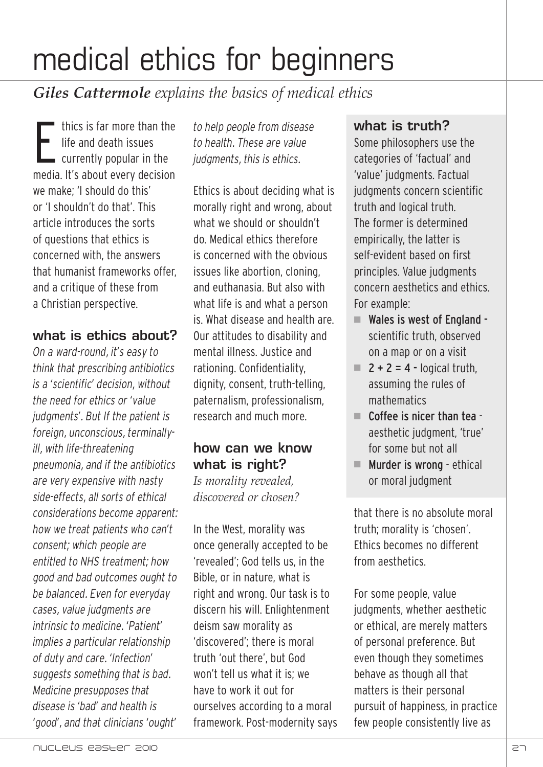*Giles Cattermole explains the basics of medical ethics*

E thics is far more than the life and death issues currently popular in the media. It's about every decision we make; 'I should do this' or 'I shouldn't do that'. This article introduces the sorts of questions that ethics is concerned with, the answers that humanist frameworks offer, and a critique of these from a Christian perspective.

# **what is ethics about?**

*On a ward-round, it's easy to think that prescribing antibiotics is a 'scientific' decision, without the need for ethics or 'value judgments'. But If the patient is foreign, unconscious, terminallyill, with life-threatening pneumonia, and if the antibiotics are very expensive with nasty side-effects, all sorts of ethical considerations become apparent: how we treat patients who can't consent; which people are entitled to NHS treatment; how good and bad outcomes ought to be balanced. Even for everyday cases, value judgments are intrinsic to medicine. 'Patient' implies a particular relationship of duty and care. 'Infection' suggests something that is bad. Medicine presupposes that disease is 'bad' and health is 'good', and that clinicians 'ought'*

*to help people from disease to health. These are value judgments, this is ethics.* 

Ethics is about deciding what is morally right and wrong, about what we should or shouldn't do. Medical ethics therefore is concerned with the obvious issues like abortion, cloning, and euthanasia. But also with what life is and what a person is. What disease and health are. Our attitudes to disability and mental illness. Justice and rationing. Confidentiality, dignity, consent, truth-telling, paternalism, professionalism, research and much more.

# **how can we know what is right?**

*Is morality revealed, discovered or chosen?*

In the West, morality was once generally accepted to be 'revealed'; God tells us, in the Bible, or in nature, what is right and wrong. Our task is to discern his will. Enlightenment deism saw morality as 'discovered'; there is moral truth 'out there', but God won't tell us what it is; we have to work it out for ourselves according to a moral framework. Post-modernity says

# **what is truth?**

Some philosophers use the categories of 'factual' and 'value' judgments. Factual judgments concern scientific truth and logical truth. The former is determined empirically, the latter is self-evident based on first principles. Value judgments concern aesthetics and ethics. For example:

- $\blacksquare$  Wales is west of England scientific truth, observed on a map or on a visit
- $\blacksquare$  2 + 2 = 4 logical truth, assuming the rules of mathematics
- $\blacksquare$  Coffee is nicer than tea aesthetic judgment, 'true' for some but not all
- $\blacksquare$  Murder is wrong ethical or moral judgment

that there is no absolute moral truth; morality is 'chosen'. Ethics becomes no different from aesthetics.

For some people, value judgments, whether aesthetic or ethical, are merely matters of personal preference. But even though they sometimes behave as though all that matters is their personal pursuit of happiness, in practice few people consistently live as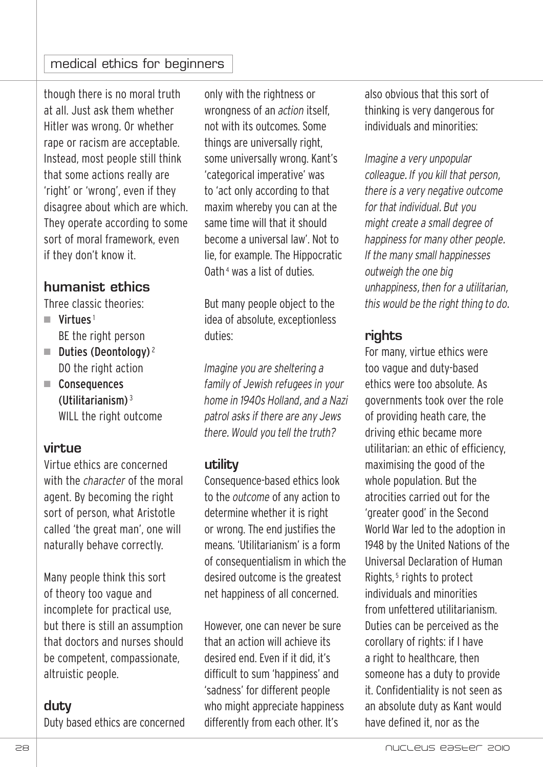though there is no moral truth at all. Just ask them whether Hitler was wrong. Or whether rape or racism are acceptable. Instead, most people still think that some actions really are 'right' or 'wrong', even if they disagree about which are which. They operate according to some sort of moral framework, even if they don't know it.

# **humanist ethics**

Three classic theories:

- $N$ irtues<sup>1</sup> BE the right person
- $\blacksquare$  Duties (Deontology)<sup>2</sup> DO the right action
- Consequences (Utilitarianism) <sup>3</sup> WILL the right outcome

#### **virtue**

Virtue ethics are concerned with the *character* of the moral agent. By becoming the right sort of person, what Aristotle called 'the great man', one will naturally behave correctly.

Many people think this sort of theory too vague and incomplete for practical use, but there is still an assumption that doctors and nurses should be competent, compassionate, altruistic people.

# **duty**

Duty based ethics are concerned

only with the rightness or wrongness of an *action* itself, not with its outcomes. Some things are universally right, some universally wrong. Kant's 'categorical imperative' was to 'act only according to that maxim whereby you can at the same time will that it should become a universal law'. Not to lie, for example. The Hippocratic Oath<sup>4</sup> was a list of duties.

But many people object to the idea of absolute, exceptionless duties:

*Imagine you are sheltering a family of Jewish refugees in your home in 1940s Holland, and a Nazi patrol asks if there are any Jews there. Would you tell the truth?*

#### **utility**

Consequence-based ethics look to the *outcome* of any action to determine whether it is right or wrong. The end justifies the means. 'Utilitarianism' is a form of consequentialism in which the desired outcome is the greatest net happiness of all concerned.

However, one can never be sure that an action will achieve its desired end. Even if it did, it's difficult to sum 'happiness' and 'sadness' for different people who might appreciate happiness differently from each other. It's

also obvious that this sort of thinking is very dangerous for individuals and minorities:

*Imagine a very unpopular colleague. If you kill that person, there is a very negative outcome for that individual. But you might create a small degree of happiness for many other people. If the many small happinesses outweigh the one big unhappiness, then for a utilitarian, this would be the right thing to do.*

### **rights**

For many, virtue ethics were too vague and duty-based ethics were too absolute. As governments took over the role of providing heath care, the driving ethic became more utilitarian: an ethic of efficiency, maximising the good of the whole population. But the atrocities carried out for the 'greater good' in the Second World War led to the adoption in 1948 by the United Nations of the Universal Declaration of Human Rights,<sup>5</sup> rights to protect individuals and minorities from unfettered utilitarianism. Duties can be perceived as the corollary of rights: if I have a right to healthcare, then someone has a duty to provide it. Confidentiality is not seen as an absolute duty as Kant would have defined it, nor as the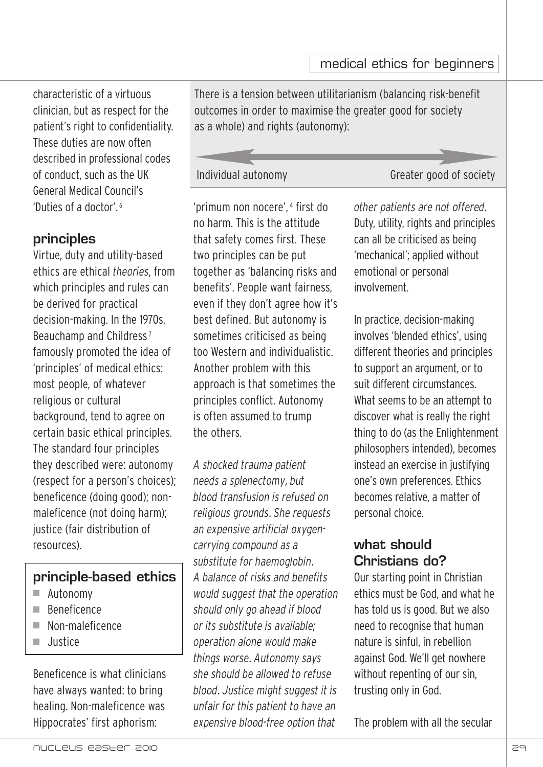characteristic of a virtuous clinician, but as respect for the patient's right to confidentiality. These duties are now often described in professional codes of conduct, such as the UK General Medical Council's 'Duties of a doctor'.<sup>6</sup>

#### **principles**

Virtue, duty and utility-based ethics are ethical *theories*, from which principles and rules can be derived for practical decision-making. In the 1970s, Beauchamp and Childress <sup>7</sup> famously promoted the idea of 'principles' of medical ethics: most people, of whatever religious or cultural background, tend to agree on certain basic ethical principles. The standard four principles they described were: autonomy (respect for a person's choices); beneficence (doing good); nonmaleficence (not doing harm); justice (fair distribution of resources).

# **principle-based ethics**

- $\blacksquare$  Autonomy
- n Beneficence
- Non-maleficence
- n Justice

Beneficence is what clinicians have always wanted: to bring healing. Non-maleficence was Hippocrates' first aphorism:

There is a tension between utilitarianism (balancing risk-benefit outcomes in order to maximise the greater good for society as a whole) and rights (autonomy):

Individual autonomy Greater good of society

'primum non nocere', <sup>4</sup> first do no harm. This is the attitude that safety comes first. These two principles can be put together as 'balancing risks and benefits'. People want fairness, even if they don't agree how it's best defined. But autonomy is sometimes criticised as being too Western and individualistic. Another problem with this approach is that sometimes the principles conflict. Autonomy is often assumed to trump the others.

*A shocked trauma patient needs a splenectomy, but blood transfusion is refused on religious grounds. She requests an expensive artificial oxygencarrying compound as a substitute for haemoglobin. A balance of risks and benefits would suggest that the operation should only go ahead if blood or its substitute is available; operation alone would make things worse. Autonomy says she should be allowed to refuse blood. Justice might suggest it is unfair for this patient to have an expensive blood-free option that*

*other patients are not offered.* Duty, utility, rights and principles can all be criticised as being 'mechanical'; applied without emotional or personal involvement.

In practice, decision-making involves 'blended ethics', using different theories and principles to support an argument, or to suit different circumstances. What seems to be an attempt to discover what is really the right thing to do (as the Enlightenment philosophers intended), becomes instead an exercise in justifying one's own preferences. Ethics becomes relative, a matter of personal choice.

# **what should Christians do?**

Our starting point in Christian ethics must be God, and what he has told us is good. But we also need to recognise that human nature is sinful, in rebellion against God. We'll get nowhere without repenting of our sin, trusting only in God.

The problem with all the secular